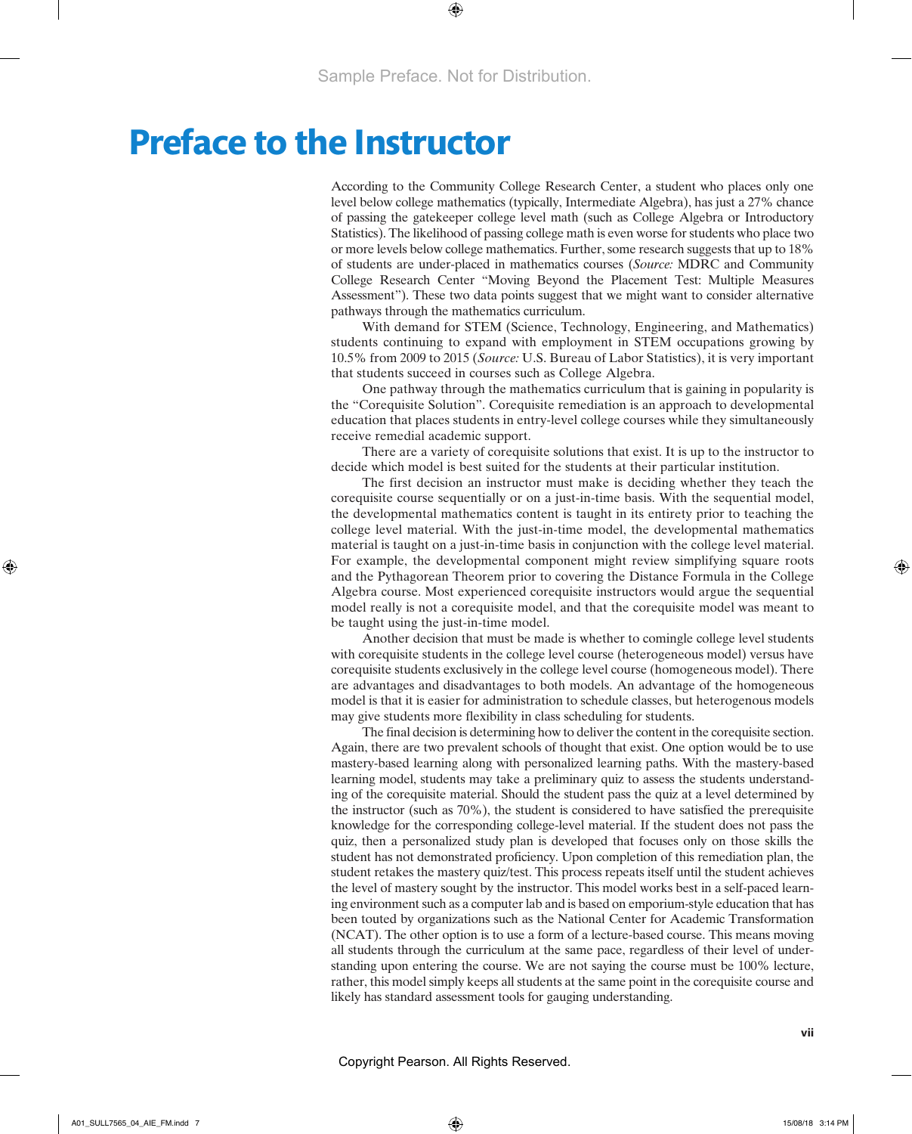# **Preface to the Instructor**

According to the Community College Research Center, a student who places only one level below college mathematics (typically, Intermediate Algebra), has just a 27% chance of passing the gatekeeper college level math (such as College Algebra or Introductory Statistics). The likelihood of passing college math is even worse for students who place two or more levels below college mathematics. Further, some research suggests that up to 18% of students are under-placed in mathematics courses (*Source:* MDRC and Community College Research Center "Moving Beyond the Placement Test: Multiple Measures Assessment"). These two data points suggest that we might want to consider alternative pathways through the mathematics curriculum.

With demand for STEM (Science, Technology, Engineering, and Mathematics) students continuing to expand with employment in STEM occupations growing by 10.5% from 2009 to 2015 (*Source:* U.S. Bureau of Labor Statistics), it is very important that students succeed in courses such as College Algebra.

One pathway through the mathematics curriculum that is gaining in popularity is the "Corequisite Solution". Corequisite remediation is an approach to developmental education that places students in entry-level college courses while they simultaneously receive remedial academic support.

There are a variety of corequisite solutions that exist. It is up to the instructor to decide which model is best suited for the students at their particular institution.

The first decision an instructor must make is deciding whether they teach the corequisite course sequentially or on a just-in-time basis. With the sequential model, the developmental mathematics content is taught in its entirety prior to teaching the college level material. With the just-in-time model, the developmental mathematics material is taught on a just-in-time basis in conjunction with the college level material. For example, the developmental component might review simplifying square roots and the Pythagorean Theorem prior to covering the Distance Formula in the College Algebra course. Most experienced corequisite instructors would argue the sequential model really is not a corequisite model, and that the corequisite model was meant to be taught using the just-in-time model.

Another decision that must be made is whether to comingle college level students with corequisite students in the college level course (heterogeneous model) versus have corequisite students exclusively in the college level course (homogeneous model). There are advantages and disadvantages to both models. An advantage of the homogeneous model is that it is easier for administration to schedule classes, but heterogenous models may give students more flexibility in class scheduling for students.

The final decision is determining how to deliver the content in the corequisite section. Again, there are two prevalent schools of thought that exist. One option would be to use mastery-based learning along with personalized learning paths. With the mastery-based learning model, students may take a preliminary quiz to assess the students understanding of the corequisite material. Should the student pass the quiz at a level determined by the instructor (such as 70%), the student is considered to have satisfied the prerequisite knowledge for the corresponding college-level material. If the student does not pass the quiz, then a personalized study plan is developed that focuses only on those skills the student has not demonstrated proficiency. Upon completion of this remediation plan, the student retakes the mastery quiz/test. This process repeats itself until the student achieves the level of mastery sought by the instructor. This model works best in a self-paced learning environment such as a computer lab and is based on emporium-style education that has been touted by organizations such as the National Center for Academic Transformation (NCAT). The other option is to use a form of a lecture-based course. This means moving all students through the curriculum at the same pace, regardless of their level of understanding upon entering the course. We are not saying the course must be 100% lecture, rather, this model simply keeps all students at the same point in the corequisite course and likely has standard assessment tools for gauging understanding.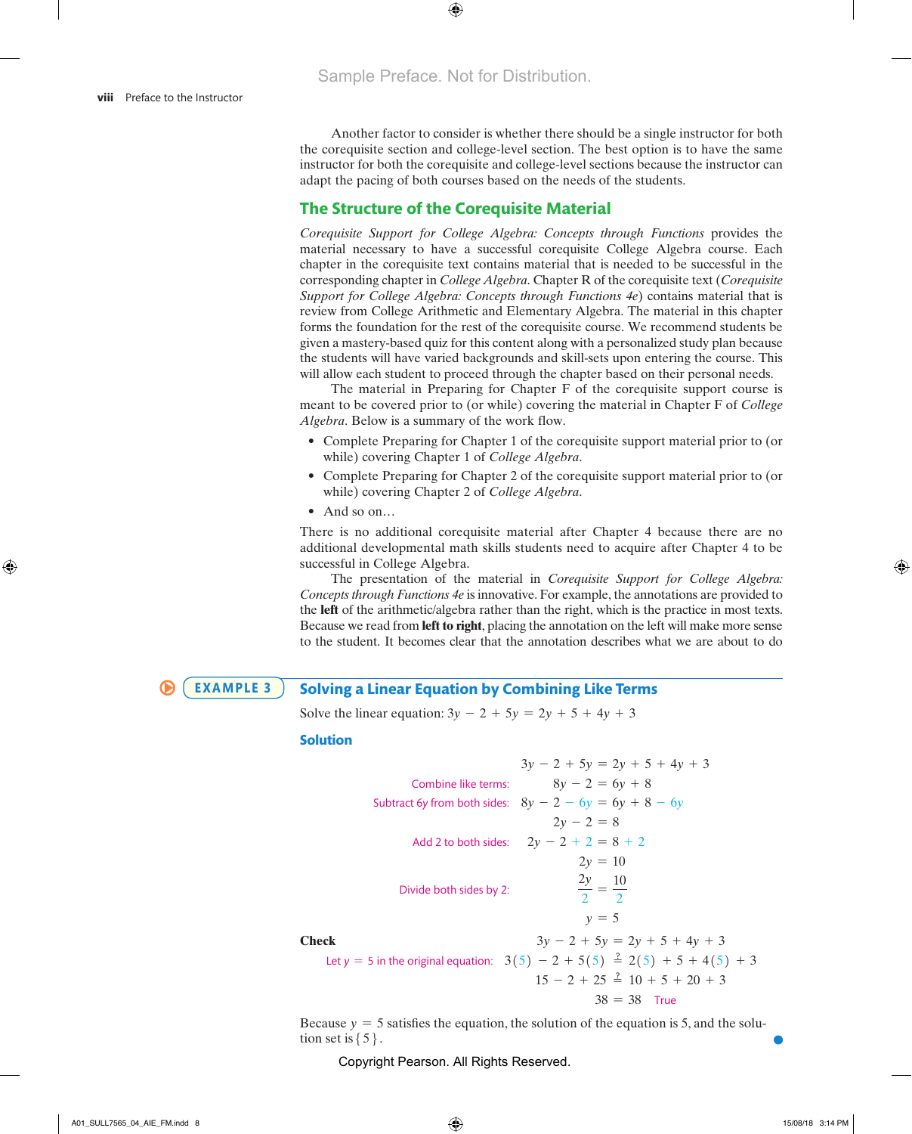Another factor to consider is whether there should be a single instructor for both the corequisite section and college-level section. The best option is to have the same instructor for both the corequisite and college-level sections because the instructor can adapt the pacing of both courses based on the needs of the students.

# **The Structure of the Corequisite Material**

*Corequisite Support for College Algebra: Concepts through Functions* provides the material necessary to have a successful corequisite College Algebra course. Each chapter in the corequisite text contains material that is needed to be successful in the corresponding chapter in *College Algebra*. Chapter R of the corequisite text (*Corequisite Support for College Algebra: Concepts through Functions 4e*) contains material that is review from College Arithmetic and Elementary Algebra. The material in this chapter forms the foundation for the rest of the corequisite course. We recommend students be given a mastery-based quiz for this content along with a personalized study plan because the students will have varied backgrounds and skill-sets upon entering the course. This will allow each student to proceed through the chapter based on their personal needs.

The material in Preparing for Chapter F of the corequisite support course is meant to be covered prior to (or while) covering the material in Chapter F of *College Algebra*. Below is a summary of the work flow.

- Complete Preparing for Chapter 1 of the corequisite support material prior to (or while) covering Chapter 1 of *College Algebra*.
- Complete Preparing for Chapter 2 of the corequisite support material prior to (or while) covering Chapter 2 of *College Algebra*.
- $\bullet$  And so on...

There is no additional corequisite material after Chapter 4 because there are no additional developmental math skills students need to acquire after Chapter 4 to be successful in College Algebra. *In Problems 8–10, solve each equation and verify your solution.* .<br>..

The presentation of the material in *Corequisite Support for College Algebra: Concepts through Functions 4e* is innovative. For example, the annotations are provided to the **left** of the arithmetic/algebra rather than the right, which is the practice in most texts. Because we read from **left to right**, placing the annotation on the left will make more sense to the student. It becomes clear that the annotation describes what we are about to do leg<br>!

#### **Solving a Linear Equation by Combining Like Terms EXAMPLE 3**

Solve the linear equation:  $3y - 2 + 5y = 2y + 5 + 4y + 3$ 

#### **Solution**

|       | $3y - 2 + 5y = 2y + 5 + 4y + 3$                                                             |
|-------|---------------------------------------------------------------------------------------------|
|       | $8y - 2 = 6y + 8$<br>Combine like terms:                                                    |
|       | Subtract 6y from both sides: $8y - 2 - 6y = 6y + 8 - 6y$                                    |
|       | $2y - 2 = 8$                                                                                |
|       | Add 2 to both sides: $2y - 2 + 2 = 8 + 2$                                                   |
|       | $2y = 10$                                                                                   |
|       | $\frac{2y}{2} = \frac{10}{2}$<br>Divide both sides by 2:                                    |
|       | $v = 5$                                                                                     |
| Check | $3y - 2 + 5y = 2y + 5 + 4y + 3$                                                             |
|       | Let $y = 5$ in the original equation: $3(5) - 2 + 5(5) \stackrel{?}{=} 2(5) + 5 + 4(5) + 3$ |
|       | $15 - 2 + 25 \stackrel{?}{=} 10 + 5 + 20 + 3$                                               |
|       | $38 = 38$ True                                                                              |
|       |                                                                                             |

Because  $y = 5$  satisfies the equation, the solution of the equation is 5, and the solution set is  $\{5\}$ .

Copyright Pearson. All Rights Reserved.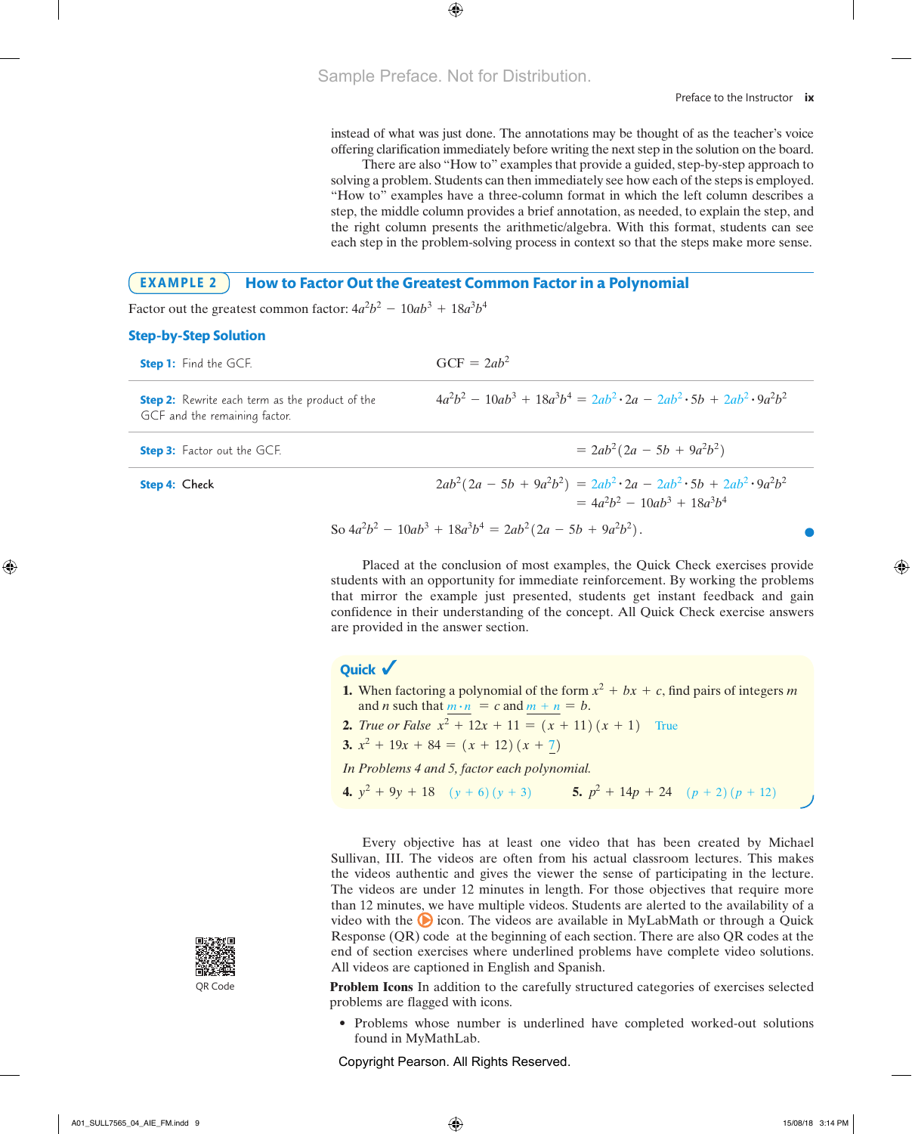instead of what was just done. The annotations may be thought of as the teacher's voice offering clarification immediately before writing the next step in the solution on the board.

each step in the problem-solving process in context so that the steps make more sense. There are also "How to" examples that provide a guided, step-by-step approach to<br>There are also "How to" examples that provide a guided, step-by-step approach to solving a problem. Students can then immediately see how each of the steps is employed.<br>
<u>In the steps</u> is employed. step, the middle column provides a brief annotation, as needed, to explain the step, and "How to" examples have a three-column format in which the left column describes a the right column presents the arithmetic/algebra. With this format, students can see

#### EXAMPLE 2  $\,$   $\,$   $\,$  How to Factor Out the Greatest Common Factor in a Polynomial **Step 3: Check** Use FOIL to

Factor out the greatest common factor:  $4a^2b^2 - 10ab^3 + 18a^3b^4$ nctor out the gre 18*a*<sup>3</sup>*b*<sup>4</sup>

#### **Step-by-Step Solution**

| <b>Step 1:</b> Find the GCF.                                                            | $GCF = 2ab^2$                                                                         |
|-----------------------------------------------------------------------------------------|---------------------------------------------------------------------------------------|
| <b>Step 2:</b> Rewrite each term as the product of the<br>GCF and the remaining factor. | $4a^2b^2 - 10ab^3 + 18a^3b^4 = 2ab^2 \cdot 2a - 2ab^2 \cdot 5b + 2ab^2 \cdot 9a^2b^2$ |
| <b>Step 3:</b> Factor out the GCF.                                                      | $= 2ab^2(2a - 5b + 9a^2b^2)$                                                          |
| <b>Step 4: Check</b>                                                                    | $2ab^2(2a-5b+9a^2b^2) = 2ab^2 \cdot 2a - 2ab^2 \cdot 5b + 2ab^2 \cdot 9a^2b^2$        |

$$
2ab^{2}(2a - 5b + 9a^{2}b^{2}) = 2ab^{2} \cdot 2a - 2ab^{2} \cdot 5b + 2ab^{2} \cdot 9a^{2}b^{2}
$$

$$
= 4a^{2}b^{2} - 10ab^{3} + 18a^{3}b^{4}
$$
So  $4a^{2}b^{2} - 10ab^{3} + 18a^{3}b^{4} = 2ab^{2}(2a - 5b + 9a^{2}b^{2}).$ 

Placed at the conclusion of most examples, the Quick Check exercises provide that mirror the example just presented, students get instant feedback and gain confidence in their understanding of the concept. All Quick Check exercise answers are provided in the answer section. students with an opportunity for immediate reinforcement. By working the problems

### **Quick**

- and *n* such that  $\frac{m \cdot n}{m} = c$  and  $\frac{m + n}{n} = b$ . **1.** When factoring a polynomial of the form  $x^2 + bx + c$ , find pairs of integers *m*
- **2.** *True or False*  $x^2 + 12x + 11 = (x + 11)(x + 1)$  True
- **3.**  $x^2 + 19x + 84 = (x + 12)(x + 7)$

7*z*(*z* - 2) 2*y*(3*y*<sup>2</sup> - 7*y* + 5) 2*m*<sup>2</sup> *In Problems 4 and 5, factor each polynomial.*

**4.**  $y^2 + 9y + 18$   $(y + 6)(y + 3)$  **5.**  $p^2 + 14p + 24$   $(p + 2)(p + 12)$ 

When the coefficient of the term of the term of  $\mathcal{A}$ 

**Factoring Objective Has at least one video that has been created by Michael Sullivan, III. The videos are often from his actual classroom lectures. This makes** The videos are under 12 minutes in length. For those objectives that require more than 12 minutes, we have multiple videos. Students are alerted to the availability of a Response (QR) code at the beginning of each section. There are also QR codes at the end of section exercises where underlined problems have complete video solutions. Every objective has at least one video that has been created by Michael the videos authentic and gives the viewer the sense of participating in the lecture. video with the **O** icon. The videos are available in MyLabMath or through a Quick All videos are captioned in English and Spanish.

problems are flagged with icons. **Problem Icons** In addition to the carefully structured categories of exercises selected

• Problems whose number is underlined have completed worked-out solutions found in MyMathLab.

Copyright Pearson. All Rights Reserved.



QR Code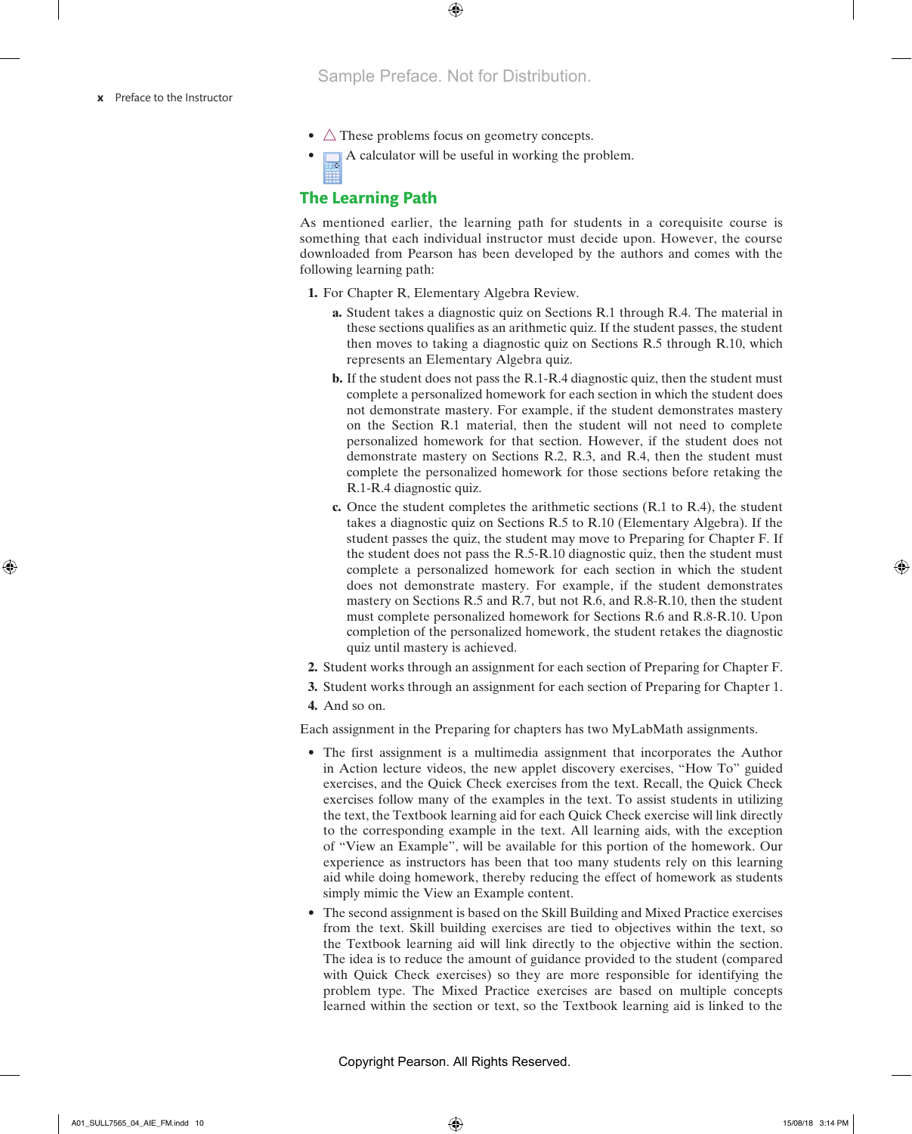- $\triangle$  These problems focus on geometry concepts.
- $\Box$  A calculator will be useful in working the problem.

# **The Learning Path**

As mentioned earlier, the learning path for students in a corequisite course is something that each individual instructor must decide upon. However, the course downloaded from Pearson has been developed by the authors and comes with the following learning path:

- **1.** For Chapter R, Elementary Algebra Review.
	- **a.** Student takes a diagnostic quiz on Sections R.1 through R.4. The material in these sections qualifies as an arithmetic quiz. If the student passes, the student then moves to taking a diagnostic quiz on Sections R.5 through R.10, which represents an Elementary Algebra quiz.
	- **b.** If the student does not pass the R.1-R.4 diagnostic quiz, then the student must complete a personalized homework for each section in which the student does not demonstrate mastery. For example, if the student demonstrates mastery on the Section R.1 material, then the student will not need to complete personalized homework for that section. However, if the student does not demonstrate mastery on Sections R.2, R.3, and R.4, then the student must complete the personalized homework for those sections before retaking the R.1-R.4 diagnostic quiz.
	- **c.** Once the student completes the arithmetic sections (R.1 to R.4), the student takes a diagnostic quiz on Sections R.5 to R.10 (Elementary Algebra). If the student passes the quiz, the student may move to Preparing for Chapter F. If the student does not pass the R.5-R.10 diagnostic quiz, then the student must complete a personalized homework for each section in which the student does not demonstrate mastery. For example, if the student demonstrates mastery on Sections R.5 and R.7, but not R.6, and R.8-R.10, then the student must complete personalized homework for Sections R.6 and R.8-R.10. Upon completion of the personalized homework, the student retakes the diagnostic quiz until mastery is achieved.
- **2.** Student works through an assignment for each section of Preparing for Chapter F.
- **3.** Student works through an assignment for each section of Preparing for Chapter 1.
- **4.** And so on.

Each assignment in the Preparing for chapters has two MyLabMath assignments.

- The first assignment is a multimedia assignment that incorporates the Author in Action lecture videos, the new applet discovery exercises, "How To" guided exercises, and the Quick Check exercises from the text. Recall, the Quick Check exercises follow many of the examples in the text. To assist students in utilizing the text, the Textbook learning aid for each Quick Check exercise will link directly to the corresponding example in the text. All learning aids, with the exception of "View an Example", will be available for this portion of the homework. Our experience as instructors has been that too many students rely on this learning aid while doing homework, thereby reducing the effect of homework as students simply mimic the View an Example content.
- The second assignment is based on the Skill Building and Mixed Practice exercises from the text. Skill building exercises are tied to objectives within the text, so the Textbook learning aid will link directly to the objective within the section. The idea is to reduce the amount of guidance provided to the student (compared with Quick Check exercises) so they are more responsible for identifying the problem type. The Mixed Practice exercises are based on multiple concepts learned within the section or text, so the Textbook learning aid is linked to the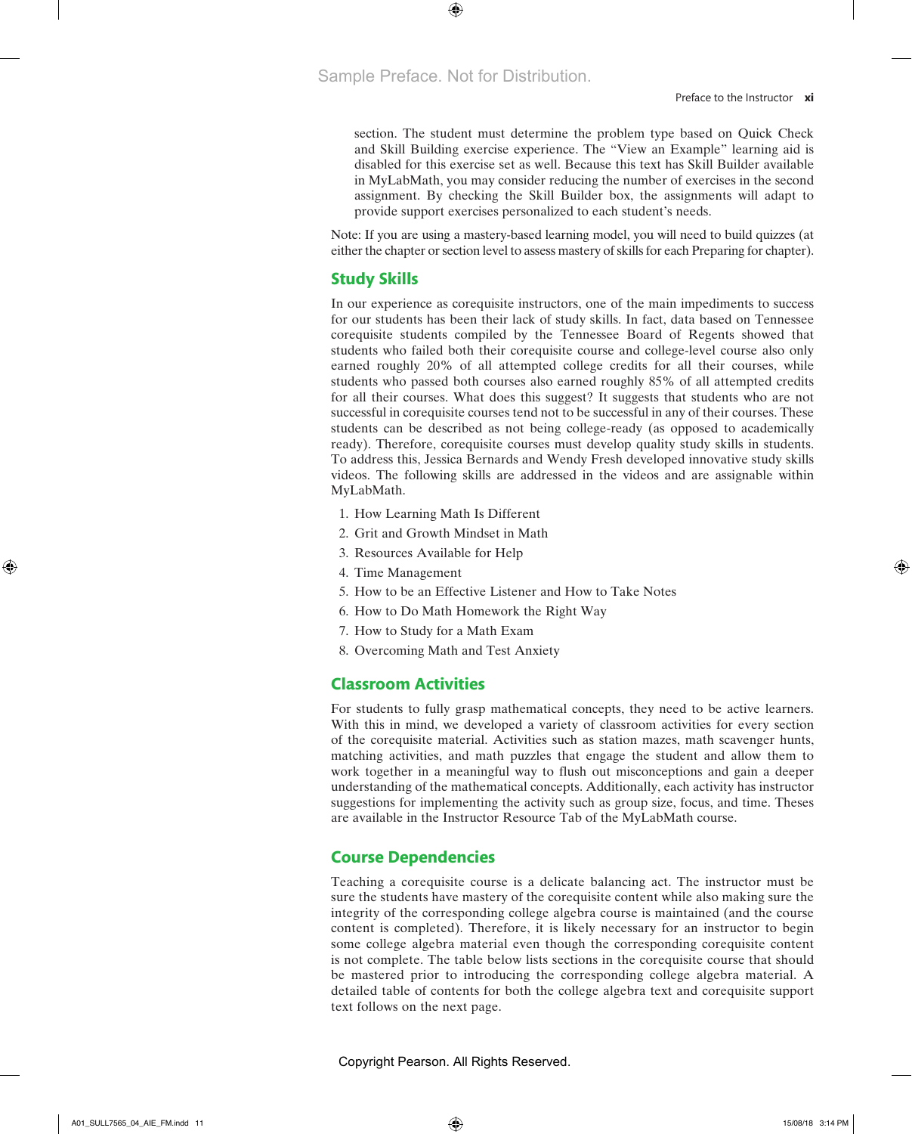section. The student must determine the problem type based on Quick Check and Skill Building exercise experience. The "View an Example" learning aid is disabled for this exercise set as well. Because this text has Skill Builder available in MyLabMath, you may consider reducing the number of exercises in the second assignment. By checking the Skill Builder box, the assignments will adapt to provide support exercises personalized to each student's needs.

Note: If you are using a mastery-based learning model, you will need to build quizzes (at either the chapter or section level to assess mastery of skills for each Preparing for chapter).

# **Study Skills**

In our experience as corequisite instructors, one of the main impediments to success for our students has been their lack of study skills. In fact, data based on Tennessee corequisite students compiled by the Tennessee Board of Regents showed that students who failed both their corequisite course and college-level course also only earned roughly 20% of all attempted college credits for all their courses, while students who passed both courses also earned roughly 85% of all attempted credits for all their courses. What does this suggest? It suggests that students who are not successful in corequisite courses tend not to be successful in any of their courses. These students can be described as not being college-ready (as opposed to academically ready). Therefore, corequisite courses must develop quality study skills in students. To address this, Jessica Bernards and Wendy Fresh developed innovative study skills videos. The following skills are addressed in the videos and are assignable within MyLabMath.

- 1. How Learning Math Is Different
- 2. Grit and Growth Mindset in Math
- 3. Resources Available for Help
- 4. Time Management
- 5. How to be an Effective Listener and How to Take Notes
- 6. How to Do Math Homework the Right Way
- 7. How to Study for a Math Exam
- 8. Overcoming Math and Test Anxiety

## **Classroom Activities**

For students to fully grasp mathematical concepts, they need to be active learners. With this in mind, we developed a variety of classroom activities for every section of the corequisite material. Activities such as station mazes, math scavenger hunts, matching activities, and math puzzles that engage the student and allow them to work together in a meaningful way to flush out misconceptions and gain a deeper understanding of the mathematical concepts. Additionally, each activity has instructor suggestions for implementing the activity such as group size, focus, and time. Theses are available in the Instructor Resource Tab of the MyLabMath course.

# **Course Dependencies**

Teaching a corequisite course is a delicate balancing act. The instructor must be sure the students have mastery of the corequisite content while also making sure the integrity of the corresponding college algebra course is maintained (and the course content is completed). Therefore, it is likely necessary for an instructor to begin some college algebra material even though the corresponding corequisite content is not complete. The table below lists sections in the corequisite course that should be mastered prior to introducing the corresponding college algebra material. A detailed table of contents for both the college algebra text and corequisite support text follows on the next page.